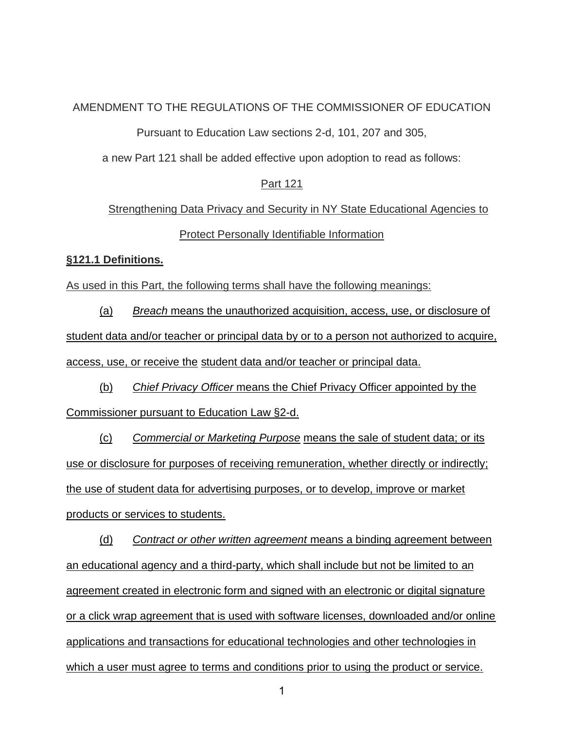## AMENDMENT TO THE REGULATIONS OF THE COMMISSIONER OF EDUCATION

Pursuant to Education Law sections 2-d, 101, 207 and 305,

a new Part 121 shall be added effective upon adoption to read as follows:

### Part 121

# Strengthening Data Privacy and Security in NY State Educational Agencies to Protect Personally Identifiable Information

## **§121.1 Definitions.**

As used in this Part, the following terms shall have the following meanings:

(a) *Breach* means the unauthorized acquisition, access, use, or disclosure of student data and/or teacher or principal data by or to a person not authorized to acquire, access, use, or receive the student data and/or teacher or principal data.

(b) *Chief Privacy Officer* means the Chief Privacy Officer appointed by the Commissioner pursuant to Education Law §2-d.

(c) *Commercial or Marketing Purpose* means the sale of student data; or its use or disclosure for purposes of receiving remuneration, whether directly or indirectly; the use of student data for advertising purposes, or to develop, improve or market products or services to students.

(d) *Contract or other written agreement* means a binding agreement between an educational agency and a third-party, which shall include but not be limited to an agreement created in electronic form and signed with an electronic or digital signature or a click wrap agreement that is used with software licenses, downloaded and/or online applications and transactions for educational technologies and other technologies in which a user must agree to terms and conditions prior to using the product or service.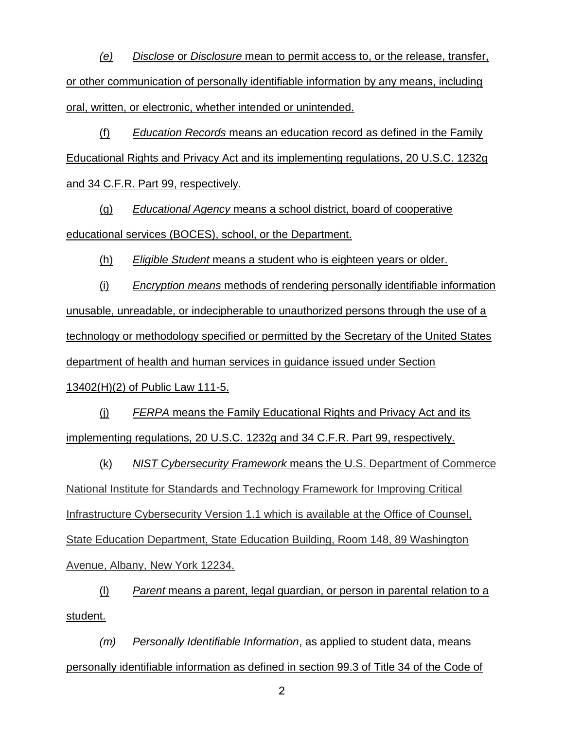*(e) Disclose* or *Disclosure* mean to permit access to, or the release, transfer, or other communication of personally identifiable information by any means, including oral, written, or electronic, whether intended or unintended.

(f) *Education Records* means an education record as defined in the Family Educational Rights and Privacy Act and its implementing regulations, 20 U.S.C. 1232g and 34 C.F.R. Part 99, respectively.

(g) *Educational Agency* means a school district, board of cooperative educational services (BOCES), school, or the Department.

(h) *Eligible Student* means a student who is eighteen years or older.

(i) *Encryption means* methods of rendering personally identifiable information unusable, unreadable, or indecipherable to unauthorized persons through the use of a technology or methodology specified or permitted by the Secretary of the United States department of health and human services in guidance issued under Section 13402(H)(2) of Public Law 111-5.

(j) *FERPA* means the Family Educational Rights and Privacy Act and its implementing regulations, 20 U.S.C. 1232g and 34 C.F.R. Part 99, respectively.

(k) *NIST Cybersecurity Framework* means the U.S. Department of Commerce National Institute for Standards and Technology Framework for Improving Critical Infrastructure Cybersecurity Version 1.1 which is available at the Office of Counsel, State Education Department, State Education Building, Room 148, 89 Washington Avenue, Albany, New York 12234.

(l) *Parent* means a parent, legal guardian, or person in parental relation to a student.

*(m) Personally Identifiable Information*, as applied to student data, means personally identifiable information as defined in section 99.3 of Title 34 of the Code of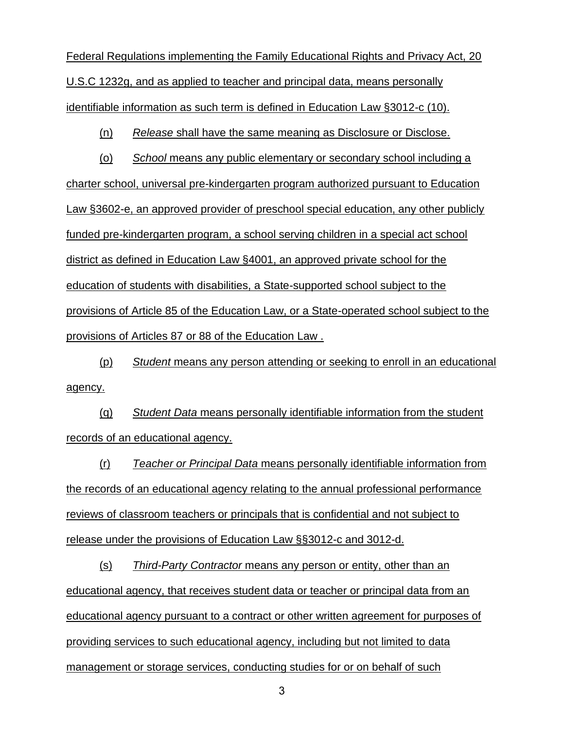Federal Regulations implementing the Family Educational Rights and Privacy Act, 20 U.S.C 1232g, and as applied to teacher and principal data, means personally identifiable information as such term is defined in Education Law §3012-c (10).

(n) *Release* shall have the same meaning as Disclosure or Disclose.

(o) *School* means any public elementary or secondary school including a charter school, universal pre-kindergarten program authorized pursuant to Education Law §3602-e, an approved provider of preschool special education, any other publicly funded pre-kindergarten program, a school serving children in a special act school district as defined in Education Law §4001, an approved private school for the education of students with disabilities, a State-supported school subject to the provisions of Article 85 of the Education Law, or a State-operated school subject to the provisions of Articles 87 or 88 of the Education Law .

(p) *Student* means any person attending or seeking to enroll in an educational agency.

(q) *Student Data* means personally identifiable information from the student records of an educational agency.

(r) *Teacher or Principal Data* means personally identifiable information from the records of an educational agency relating to the annual professional performance reviews of classroom teachers or principals that is confidential and not subject to release under the provisions of Education Law §§3012-c and 3012-d.

(s) *Third-Party Contractor* means any person or entity, other than an educational agency, that receives student data or teacher or principal data from an educational agency pursuant to a contract or other written agreement for purposes of providing services to such educational agency, including but not limited to data management or storage services, conducting studies for or on behalf of such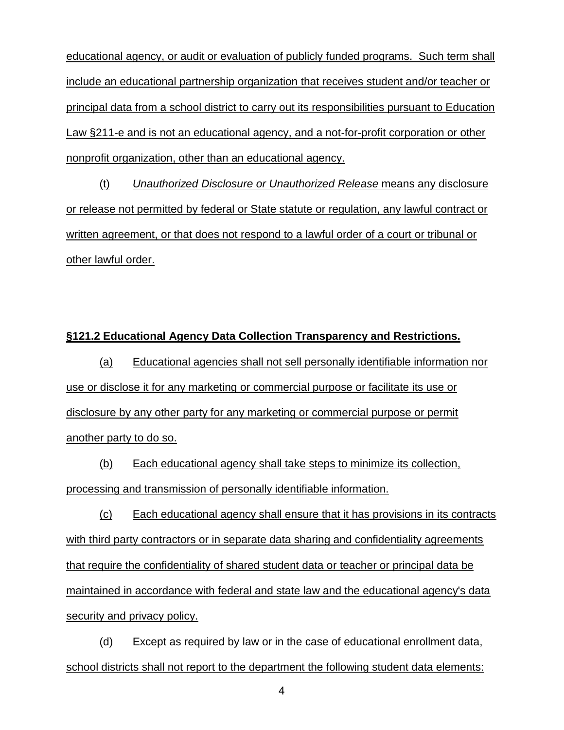educational agency, or audit or evaluation of publicly funded programs. Such term shall include an educational partnership organization that receives student and/or teacher or principal data from a school district to carry out its responsibilities pursuant to Education Law §211-e and is not an educational agency, and a not-for-profit corporation or other nonprofit organization, other than an educational agency.

(t) *Unauthorized Disclosure or Unauthorized Release* means any disclosure or release not permitted by federal or State statute or regulation, any lawful contract or written agreement, or that does not respond to a lawful order of a court or tribunal or other lawful order.

### **§121.2 Educational Agency Data Collection Transparency and Restrictions.**

(a) Educational agencies shall not sell personally identifiable information nor use or disclose it for any marketing or commercial purpose or facilitate its use or disclosure by any other party for any marketing or commercial purpose or permit another party to do so.

(b) Each educational agency shall take steps to minimize its collection, processing and transmission of personally identifiable information.

(c) Each educational agency shall ensure that it has provisions in its contracts with third party contractors or in separate data sharing and confidentiality agreements that require the confidentiality of shared student data or teacher or principal data be maintained in accordance with federal and state law and the educational agency's data security and privacy policy.

(d) Except as required by law or in the case of educational enrollment data, school districts shall not report to the department the following student data elements: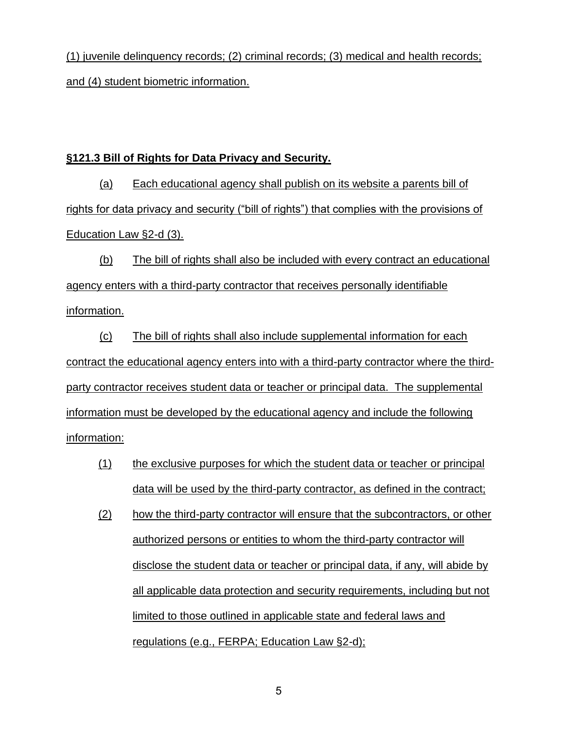(1) juvenile delinquency records; (2) criminal records; (3) medical and health records; and (4) student biometric information.

# **§121.3 Bill of Rights for Data Privacy and Security.**

(a) Each educational agency shall publish on its website a parents bill of rights for data privacy and security ("bill of rights") that complies with the provisions of Education Law §2-d (3).

(b) The bill of rights shall also be included with every contract an educational agency enters with a third-party contractor that receives personally identifiable information.

(c) The bill of rights shall also include supplemental information for each contract the educational agency enters into with a third-party contractor where the thirdparty contractor receives student data or teacher or principal data. The supplemental information must be developed by the educational agency and include the following information:

- (1) the exclusive purposes for which the student data or teacher or principal data will be used by the third-party contractor, as defined in the contract;
- (2) how the third-party contractor will ensure that the subcontractors, or other authorized persons or entities to whom the third-party contractor will disclose the student data or teacher or principal data, if any, will abide by all applicable data protection and security requirements, including but not limited to those outlined in applicable state and federal laws and regulations (e.g., FERPA; Education Law §2-d);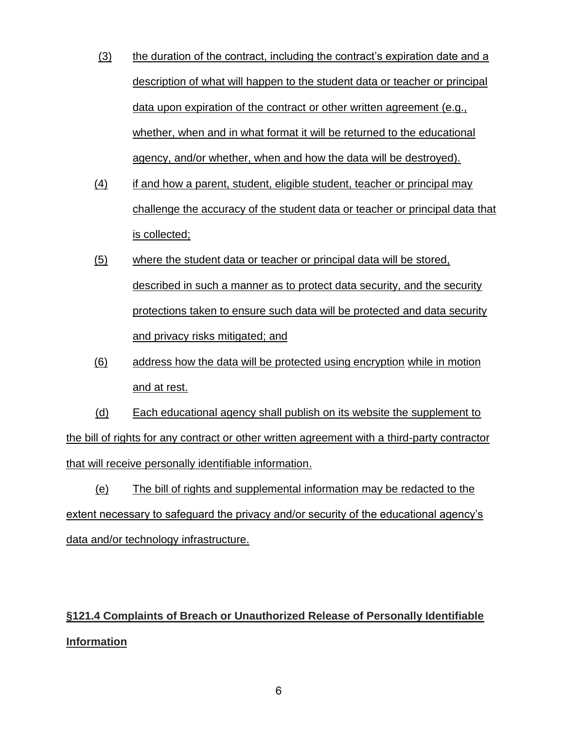- $(3)$  the duration of the contract, including the contract's expiration date and a description of what will happen to the student data or teacher or principal data upon expiration of the contract or other written agreement (e.g., whether, when and in what format it will be returned to the educational agency, and/or whether, when and how the data will be destroyed).
- (4) if and how a parent, student, eligible student, teacher or principal may challenge the accuracy of the student data or teacher or principal data that is collected;
- (5) where the student data or teacher or principal data will be stored, described in such a manner as to protect data security, and the security protections taken to ensure such data will be protected and data security and privacy risks mitigated; and
- (6) address how the data will be protected using encryption while in motion and at rest.

(d) Each educational agency shall publish on its website the supplement to the bill of rights for any contract or other written agreement with a third-party contractor that will receive personally identifiable information.

(e) The bill of rights and supplemental information may be redacted to the extent necessary to safeguard the privacy and/or security of the educational agency's data and/or technology infrastructure.

# **§121.4 Complaints of Breach or Unauthorized Release of Personally Identifiable Information**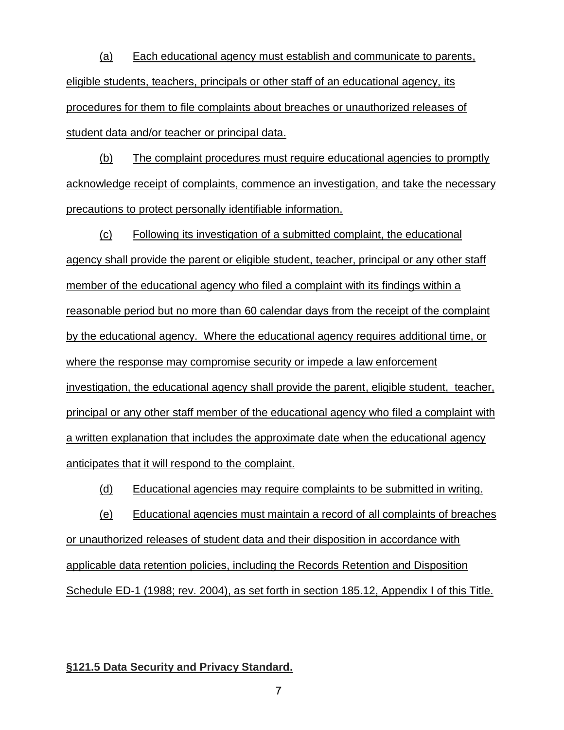(a) Each educational agency must establish and communicate to parents, eligible students, teachers, principals or other staff of an educational agency, its procedures for them to file complaints about breaches or unauthorized releases of student data and/or teacher or principal data.

(b) The complaint procedures must require educational agencies to promptly acknowledge receipt of complaints, commence an investigation, and take the necessary precautions to protect personally identifiable information.

(c) Following its investigation of a submitted complaint, the educational agency shall provide the parent or eligible student, teacher, principal or any other staff member of the educational agency who filed a complaint with its findings within a reasonable period but no more than 60 calendar days from the receipt of the complaint by the educational agency. Where the educational agency requires additional time, or where the response may compromise security or impede a law enforcement investigation, the educational agency shall provide the parent, eligible student, teacher, principal or any other staff member of the educational agency who filed a complaint with a written explanation that includes the approximate date when the educational agency anticipates that it will respond to the complaint.

(d) Educational agencies may require complaints to be submitted in writing.

(e) Educational agencies must maintain a record of all complaints of breaches or unauthorized releases of student data and their disposition in accordance with applicable data retention policies, including the Records Retention and Disposition Schedule ED-1 (1988; rev. 2004), as set forth in section 185.12, Appendix I of this Title.

#### **§121.5 Data Security and Privacy Standard.**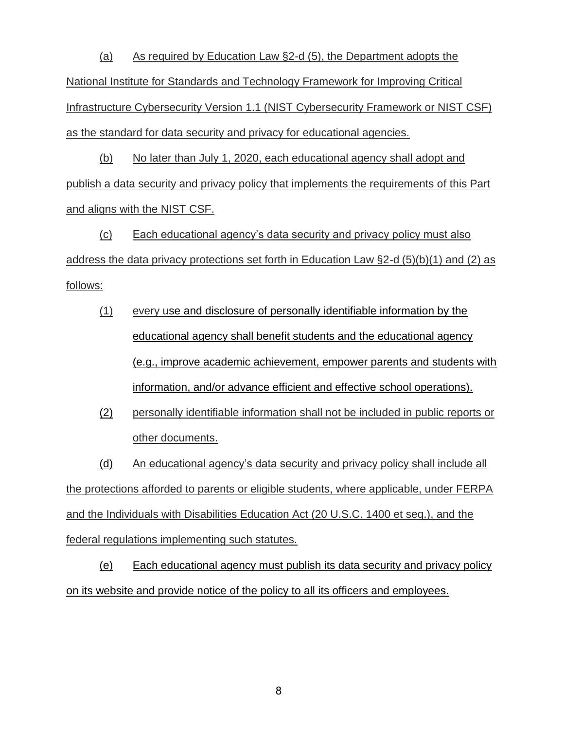(a) As required by Education Law §2-d (5), the Department adopts the National Institute for Standards and Technology Framework for Improving Critical Infrastructure Cybersecurity Version 1.1 (NIST Cybersecurity Framework or NIST CSF) as the standard for data security and privacy for educational agencies.

(b) No later than July 1, 2020, each educational agency shall adopt and publish a data security and privacy policy that implements the requirements of this Part and aligns with the NIST CSF.

(c) Each educational agency's data security and privacy policy must also address the data privacy protections set forth in Education Law §2-d (5)(b)(1) and (2) as follows:

- (1) every use and disclosure of personally identifiable information by the educational agency shall benefit students and the educational agency (e.g., improve academic achievement, empower parents and students with information, and/or advance efficient and effective school operations).
- (2) personally identifiable information shall not be included in public reports or other documents.

(d) An educational agency's data security and privacy policy shall include all the protections afforded to parents or eligible students, where applicable, under FERPA and the Individuals with Disabilities Education Act (20 U.S.C. 1400 et seq.), and the federal regulations implementing such statutes.

(e) Each educational agency must publish its data security and privacy policy on its website and provide notice of the policy to all its officers and employees.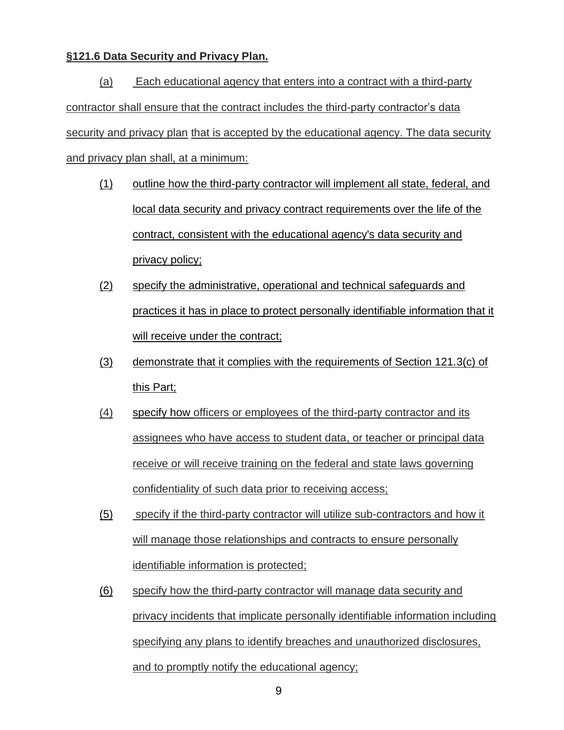## **§121.6 Data Security and Privacy Plan.**

(a) Each educational agency that enters into a contract with a third-party contractor shall ensure that the contract includes the third-party contractor's data security and privacy plan that is accepted by the educational agency. The data security and privacy plan shall, at a minimum:

- (1) outline how the third-party contractor will implement all state, federal, and local data security and privacy contract requirements over the life of the contract, consistent with the educational agency's data security and privacy policy;
- (2) specify the administrative, operational and technical safeguards and practices it has in place to protect personally identifiable information that it will receive under the contract;
- (3) demonstrate that it complies with the requirements of Section 121.3(c) of this Part;
- (4) specify how officers or employees of the third-party contractor and its assignees who have access to student data, or teacher or principal data receive or will receive training on the federal and state laws governing confidentiality of such data prior to receiving access;
- (5) specify if the third-party contractor will utilize sub-contractors and how it will manage those relationships and contracts to ensure personally identifiable information is protected;
- (6) specify how the third-party contractor will manage data security and privacy incidents that implicate personally identifiable information including specifying any plans to identify breaches and unauthorized disclosures, and to promptly notify the educational agency;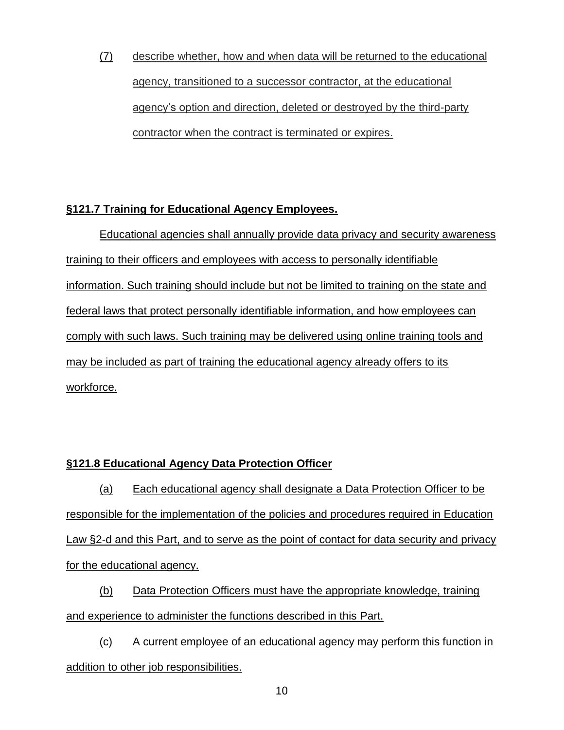(7) describe whether, how and when data will be returned to the educational agency, transitioned to a successor contractor, at the educational agency's option and direction, deleted or destroyed by the third-party contractor when the contract is terminated or expires.

# **§121.7 Training for Educational Agency Employees.**

Educational agencies shall annually provide data privacy and security awareness training to their officers and employees with access to personally identifiable information. Such training should include but not be limited to training on the state and federal laws that protect personally identifiable information, and how employees can comply with such laws. Such training may be delivered using online training tools and may be included as part of training the educational agency already offers to its workforce.

# **§121.8 Educational Agency Data Protection Officer**

(a) Each educational agency shall designate a Data Protection Officer to be responsible for the implementation of the policies and procedures required in Education Law §2-d and this Part, and to serve as the point of contact for data security and privacy for the educational agency.

(b) Data Protection Officers must have the appropriate knowledge, training and experience to administer the functions described in this Part.

(c) A current employee of an educational agency may perform this function in addition to other job responsibilities.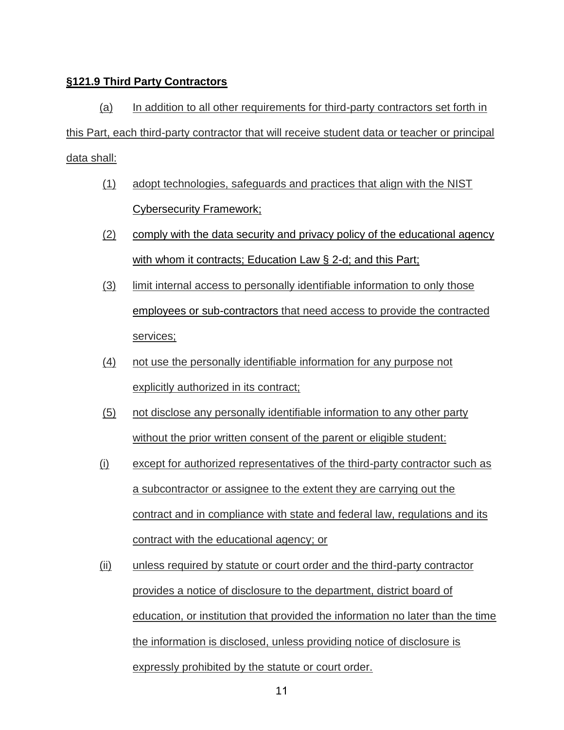## **§121.9 Third Party Contractors**

(a) In addition to all other requirements for third-party contractors set forth in this Part, each third-party contractor that will receive student data or teacher or principal data shall:

- (1) adopt technologies, safeguards and practices that align with the NIST Cybersecurity Framework;
- (2) comply with the data security and privacy policy of the educational agency with whom it contracts; Education Law § 2-d; and this Part;
- (3) limit internal access to personally identifiable information to only those employees or sub-contractors that need access to provide the contracted services;
- (4) not use the personally identifiable information for any purpose not explicitly authorized in its contract;
- (5) not disclose any personally identifiable information to any other party without the prior written consent of the parent or eligible student:
- (i) except for authorized representatives of the third-party contractor such as a subcontractor or assignee to the extent they are carrying out the contract and in compliance with state and federal law, regulations and its contract with the educational agency; or
- (ii) unless required by statute or court order and the third-party contractor provides a notice of disclosure to the department, district board of education, or institution that provided the information no later than the time the information is disclosed, unless providing notice of disclosure is expressly prohibited by the statute or court order.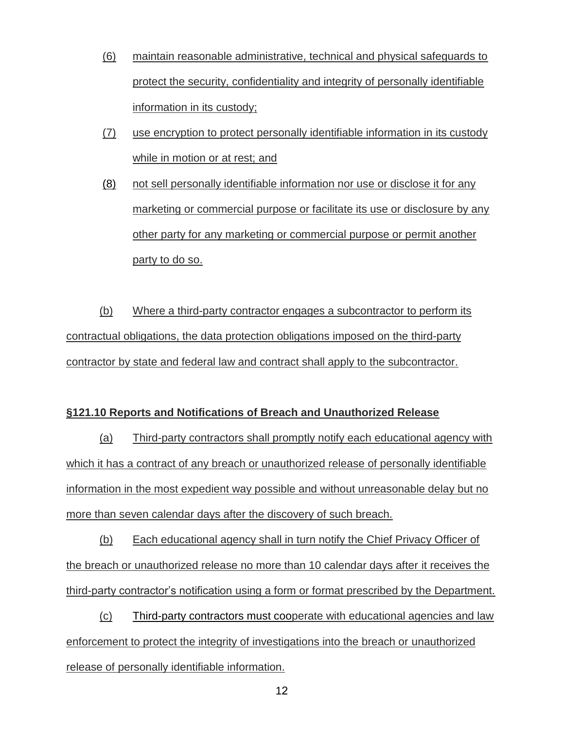- (6) maintain reasonable administrative, technical and physical safeguards to protect the security, confidentiality and integrity of personally identifiable information in its custody;
- (7) use encryption to protect personally identifiable information in its custody while in motion or at rest; and
- (8) not sell personally identifiable information nor use or disclose it for any marketing or commercial purpose or facilitate its use or disclosure by any other party for any marketing or commercial purpose or permit another party to do so.

(b) Where a third-party contractor engages a subcontractor to perform its contractual obligations, the data protection obligations imposed on the third-party contractor by state and federal law and contract shall apply to the subcontractor.

## **§121.10 Reports and Notifications of Breach and Unauthorized Release**

(a) Third-party contractors shall promptly notify each educational agency with which it has a contract of any breach or unauthorized release of personally identifiable information in the most expedient way possible and without unreasonable delay but no more than seven calendar days after the discovery of such breach.

(b) Each educational agency shall in turn notify the Chief Privacy Officer of the breach or unauthorized release no more than 10 calendar days after it receives the third-party contractor's notification using a form or format prescribed by the Department.

(c) Third-party contractors must cooperate with educational agencies and law enforcement to protect the integrity of investigations into the breach or unauthorized release of personally identifiable information.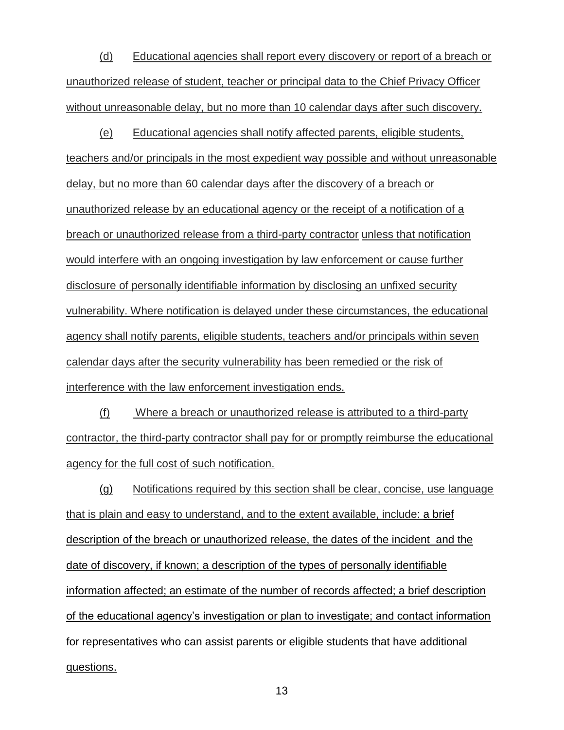(d) Educational agencies shall report every discovery or report of a breach or unauthorized release of student, teacher or principal data to the Chief Privacy Officer without unreasonable delay, but no more than 10 calendar days after such discovery.

(e) Educational agencies shall notify affected parents, eligible students, teachers and/or principals in the most expedient way possible and without unreasonable delay, but no more than 60 calendar days after the discovery of a breach or unauthorized release by an educational agency or the receipt of a notification of a breach or unauthorized release from a third-party contractor unless that notification would interfere with an ongoing investigation by law enforcement or cause further disclosure of personally identifiable information by disclosing an unfixed security vulnerability. Where notification is delayed under these circumstances, the educational agency shall notify parents, eligible students, teachers and/or principals within seven calendar days after the security vulnerability has been remedied or the risk of interference with the law enforcement investigation ends.

(f) Where a breach or unauthorized release is attributed to a third-party contractor, the third-party contractor shall pay for or promptly reimburse the educational agency for the full cost of such notification.

(g) Notifications required by this section shall be clear, concise, use language that is plain and easy to understand, and to the extent available, include: a brief description of the breach or unauthorized release, the dates of the incident and the date of discovery, if known; a description of the types of personally identifiable information affected; an estimate of the number of records affected; a brief description of the educational agency's investigation or plan to investigate; and contact information for representatives who can assist parents or eligible students that have additional questions.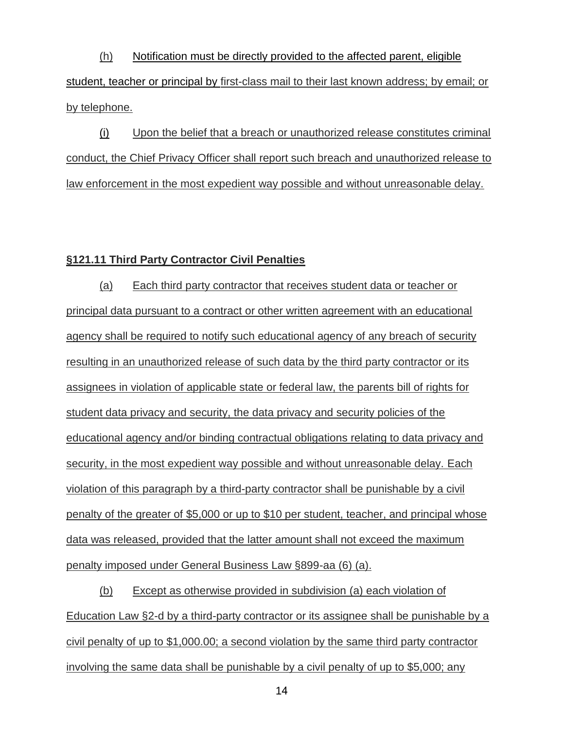(h) Notification must be directly provided to the affected parent, eligible student, teacher or principal by first-class mail to their last known address; by email; or by telephone.

(i) Upon the belief that a breach or unauthorized release constitutes criminal conduct, the Chief Privacy Officer shall report such breach and unauthorized release to law enforcement in the most expedient way possible and without unreasonable delay.

### **§121.11 Third Party Contractor Civil Penalties**

(a) Each third party contractor that receives student data or teacher or principal data pursuant to a contract or other written agreement with an educational agency shall be required to notify such educational agency of any breach of security resulting in an unauthorized release of such data by the third party contractor or its assignees in violation of applicable state or federal law, the parents bill of rights for student data privacy and security, the data privacy and security policies of the educational agency and/or binding contractual obligations relating to data privacy and security, in the most expedient way possible and without unreasonable delay. Each violation of this paragraph by a third-party contractor shall be punishable by a civil penalty of the greater of \$5,000 or up to \$10 per student, teacher, and principal whose data was released, provided that the latter amount shall not exceed the maximum penalty imposed under General Business Law §899-aa (6) (a).

(b) Except as otherwise provided in subdivision (a) each violation of Education Law §2-d by a third-party contractor or its assignee shall be punishable by a civil penalty of up to \$1,000.00; a second violation by the same third party contractor involving the same data shall be punishable by a civil penalty of up to \$5,000; any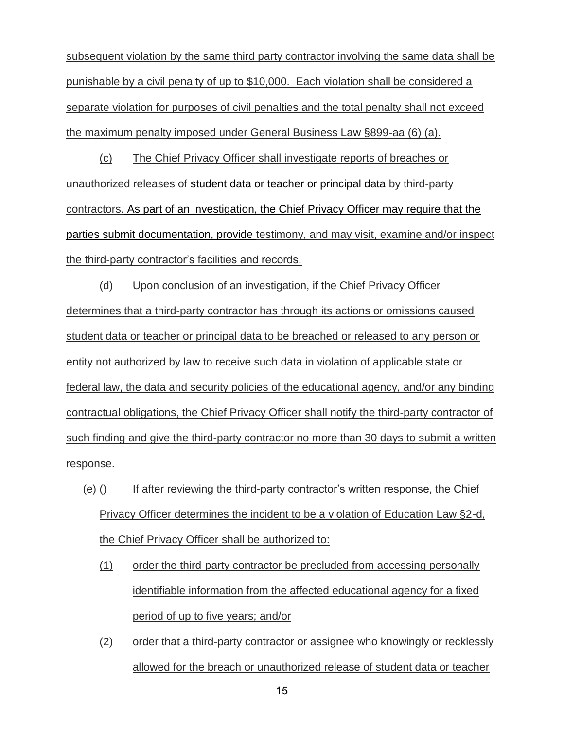subsequent violation by the same third party contractor involving the same data shall be punishable by a civil penalty of up to \$10,000. Each violation shall be considered a separate violation for purposes of civil penalties and the total penalty shall not exceed the maximum penalty imposed under General Business Law §899-aa (6) (a).

(c) The Chief Privacy Officer shall investigate reports of breaches or unauthorized releases of student data or teacher or principal data by third-party contractors. As part of an investigation, the Chief Privacy Officer may require that the parties submit documentation, provide testimony, and may visit, examine and/or inspect the third-party contractor's facilities and records.

(d) Upon conclusion of an investigation, if the Chief Privacy Officer determines that a third-party contractor has through its actions or omissions caused student data or teacher or principal data to be breached or released to any person or entity not authorized by law to receive such data in violation of applicable state or federal law, the data and security policies of the educational agency, and/or any binding contractual obligations, the Chief Privacy Officer shall notify the third-party contractor of such finding and give the third-party contractor no more than 30 days to submit a written response.

- (e) () If after reviewing the third-party contractor's written response, the Chief Privacy Officer determines the incident to be a violation of Education Law §2-d, the Chief Privacy Officer shall be authorized to:
	- (1) order the third-party contractor be precluded from accessing personally identifiable information from the affected educational agency for a fixed period of up to five years; and/or
	- (2) order that a third-party contractor or assignee who knowingly or recklessly allowed for the breach or unauthorized release of student data or teacher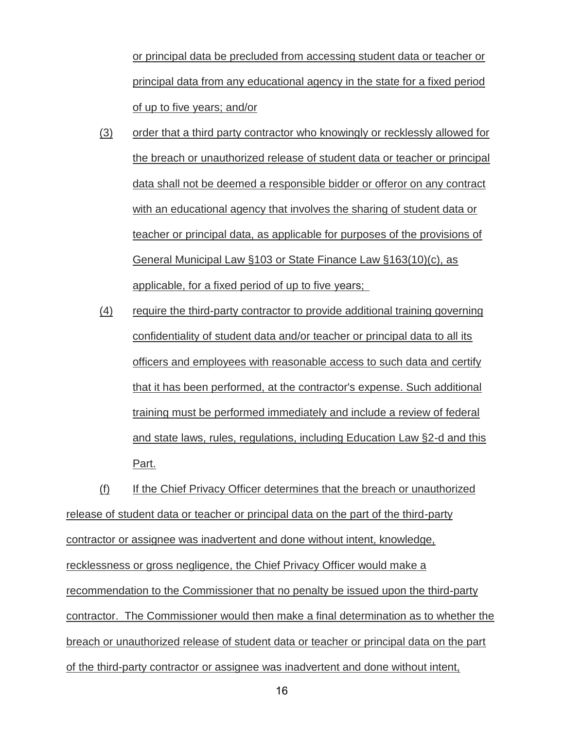or principal data be precluded from accessing student data or teacher or principal data from any educational agency in the state for a fixed period of up to five years; and/or

- (3) order that a third party contractor who knowingly or recklessly allowed for the breach or unauthorized release of student data or teacher or principal data shall not be deemed a responsible bidder or offeror on any contract with an educational agency that involves the sharing of student data or teacher or principal data, as applicable for purposes of the provisions of General Municipal Law §103 or State Finance Law §163(10)(c), as applicable, for a fixed period of up to five years;
- (4) require the third-party contractor to provide additional training governing confidentiality of student data and/or teacher or principal data to all its officers and employees with reasonable access to such data and certify that it has been performed, at the contractor's expense. Such additional training must be performed immediately and include a review of federal and state laws, rules, regulations, including Education Law §2-d and this Part.

(f) If the Chief Privacy Officer determines that the breach or unauthorized release of student data or teacher or principal data on the part of the third-party contractor or assignee was inadvertent and done without intent, knowledge, recklessness or gross negligence, the Chief Privacy Officer would make a recommendation to the Commissioner that no penalty be issued upon the third-party contractor. The Commissioner would then make a final determination as to whether the breach or unauthorized release of student data or teacher or principal data on the part of the third-party contractor or assignee was inadvertent and done without intent,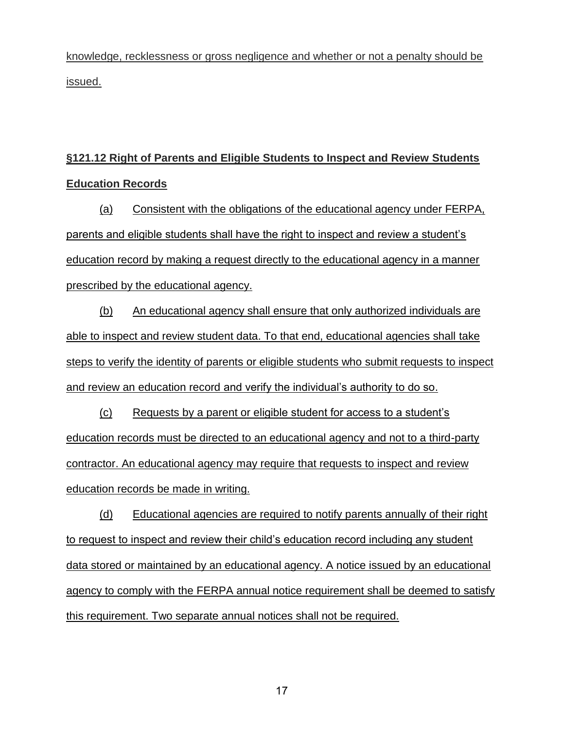knowledge, recklessness or gross negligence and whether or not a penalty should be issued.

# **§121.12 Right of Parents and Eligible Students to Inspect and Review Students Education Records**

(a) Consistent with the obligations of the educational agency under FERPA, parents and eligible students shall have the right to inspect and review a student's education record by making a request directly to the educational agency in a manner prescribed by the educational agency.

(b) An educational agency shall ensure that only authorized individuals are able to inspect and review student data. To that end, educational agencies shall take steps to verify the identity of parents or eligible students who submit requests to inspect and review an education record and verify the individual's authority to do so.

(c) Requests by a parent or eligible student for access to a student's education records must be directed to an educational agency and not to a third-party contractor. An educational agency may require that requests to inspect and review education records be made in writing.

(d) Educational agencies are required to notify parents annually of their right to request to inspect and review their child's education record including any student data stored or maintained by an educational agency. A notice issued by an educational agency to comply with the FERPA annual notice requirement shall be deemed to satisfy this requirement. Two separate annual notices shall not be required.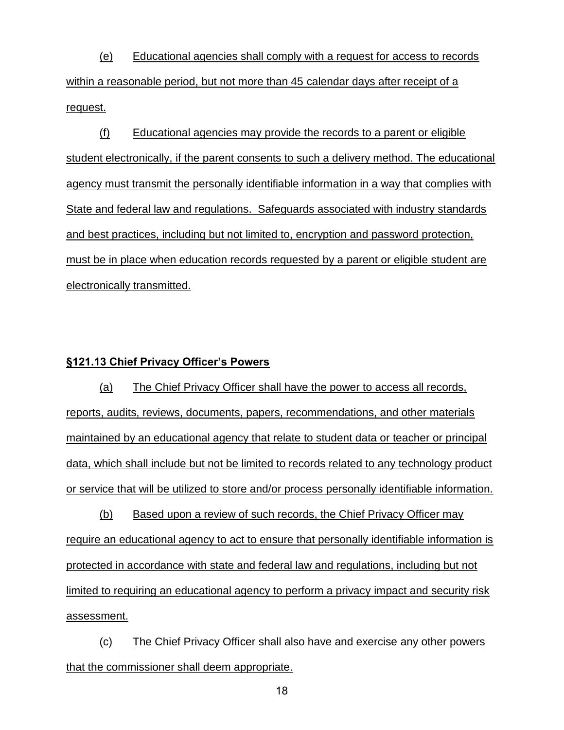(e) Educational agencies shall comply with a request for access to records within a reasonable period, but not more than 45 calendar days after receipt of a request.

(f) Educational agencies may provide the records to a parent or eligible student electronically, if the parent consents to such a delivery method. The educational agency must transmit the personally identifiable information in a way that complies with State and federal law and regulations. Safeguards associated with industry standards and best practices, including but not limited to, encryption and password protection, must be in place when education records requested by a parent or eligible student are electronically transmitted.

### **§121.13 Chief Privacy Officer's Powers**

(a) The Chief Privacy Officer shall have the power to access all records, reports, audits, reviews, documents, papers, recommendations, and other materials maintained by an educational agency that relate to student data or teacher or principal data, which shall include but not be limited to records related to any technology product or service that will be utilized to store and/or process personally identifiable information.

(b) Based upon a review of such records, the Chief Privacy Officer may require an educational agency to act to ensure that personally identifiable information is protected in accordance with state and federal law and regulations, including but not limited to requiring an educational agency to perform a privacy impact and security risk assessment.

(c) The Chief Privacy Officer shall also have and exercise any other powers that the commissioner shall deem appropriate.